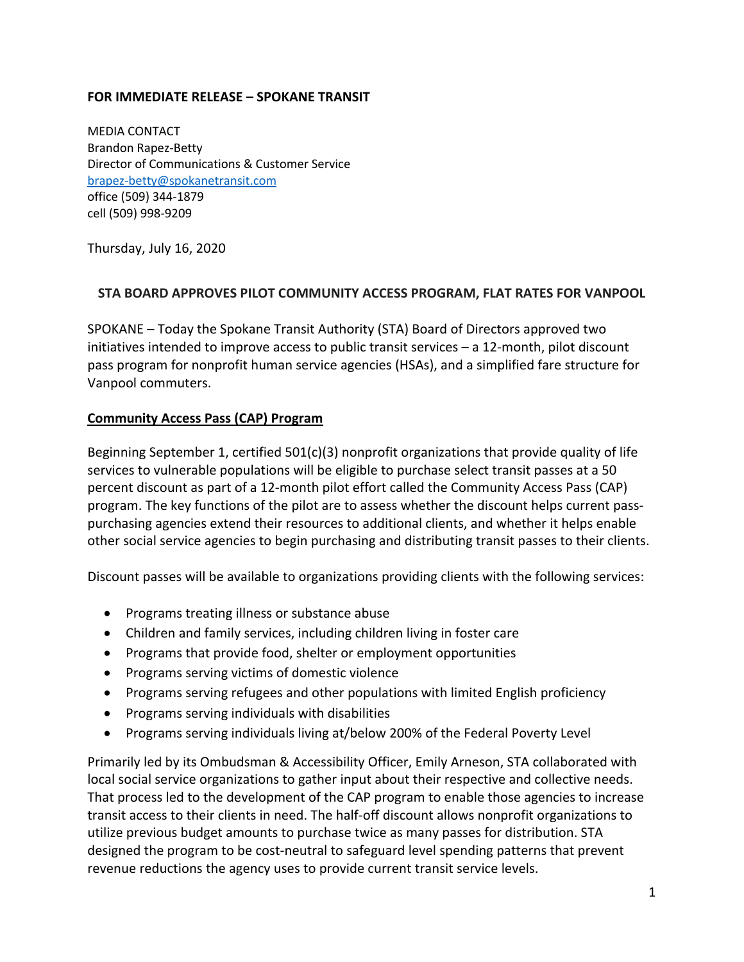## **FOR IMMEDIATE RELEASE – SPOKANE TRANSIT**

MEDIA CONTACT Brandon Rapez-Betty Director of Communications & Customer Service brapez-betty@spokanetransit.com office (509) 344-1879 cell (509) 998-9209

Thursday, July 16, 2020

## **STA BOARD APPROVES PILOT COMMUNITY ACCESS PROGRAM, FLAT RATES FOR VANPOOL**

SPOKANE – Today the Spokane Transit Authority (STA) Board of Directors approved two initiatives intended to improve access to public transit services – a 12-month, pilot discount pass program for nonprofit human service agencies (HSAs), and a simplified fare structure for Vanpool commuters.

## **Community Access Pass (CAP) Program**

Beginning September 1, certified 501(c)(3) nonprofit organizations that provide quality of life services to vulnerable populations will be eligible to purchase select transit passes at a 50 percent discount as part of a 12-month pilot effort called the Community Access Pass (CAP) program. The key functions of the pilot are to assess whether the discount helps current passpurchasing agencies extend their resources to additional clients, and whether it helps enable other social service agencies to begin purchasing and distributing transit passes to their clients.

Discount passes will be available to organizations providing clients with the following services:

- Programs treating illness or substance abuse
- Children and family services, including children living in foster care
- Programs that provide food, shelter or employment opportunities
- Programs serving victims of domestic violence
- Programs serving refugees and other populations with limited English proficiency
- Programs serving individuals with disabilities
- Programs serving individuals living at/below 200% of the Federal Poverty Level

Primarily led by its Ombudsman & Accessibility Officer, Emily Arneson, STA collaborated with local social service organizations to gather input about their respective and collective needs. That process led to the development of the CAP program to enable those agencies to increase transit access to their clients in need. The half-off discount allows nonprofit organizations to utilize previous budget amounts to purchase twice as many passes for distribution. STA designed the program to be cost-neutral to safeguard level spending patterns that prevent revenue reductions the agency uses to provide current transit service levels.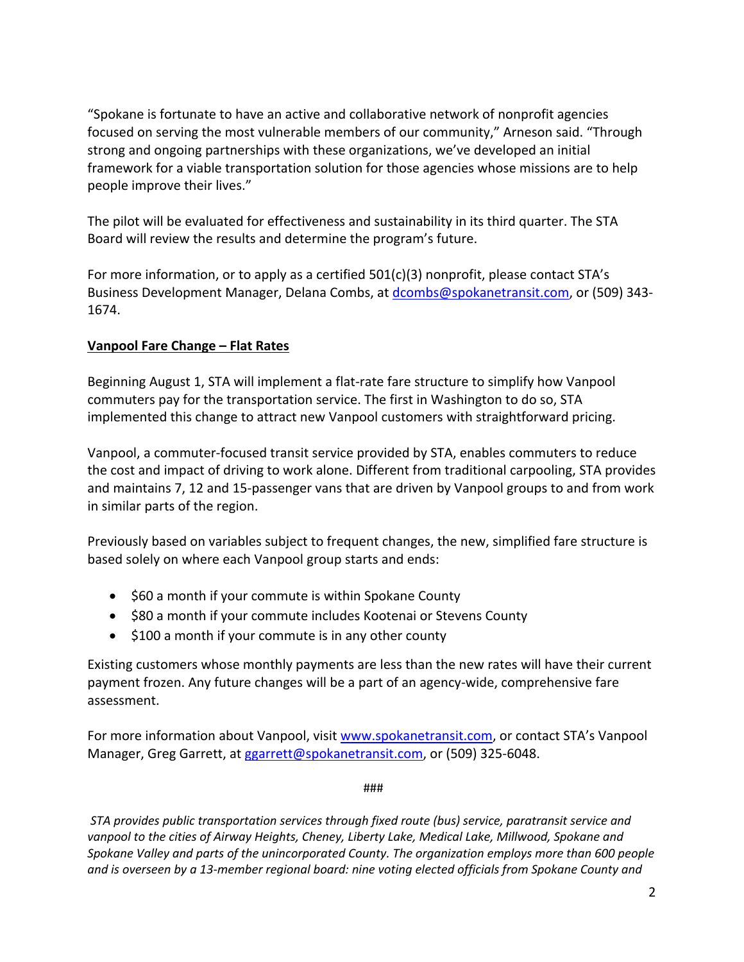"Spokane is fortunate to have an active and collaborative network of nonprofit agencies focused on serving the most vulnerable members of our community," Arneson said. "Through strong and ongoing partnerships with these organizations, we've developed an initial framework for a viable transportation solution for those agencies whose missions are to help people improve their lives."

The pilot will be evaluated for effectiveness and sustainability in its third quarter. The STA Board will review the results and determine the program's future.

For more information, or to apply as a certified 501(c)(3) nonprofit, please contact STA's Business Development Manager, Delana Combs, at dcombs@spokanetransit.com, or (509) 343- 1674.

## **Vanpool Fare Change – Flat Rates**

Beginning August 1, STA will implement a flat-rate fare structure to simplify how Vanpool commuters pay for the transportation service. The first in Washington to do so, STA implemented this change to attract new Vanpool customers with straightforward pricing.

Vanpool, a commuter-focused transit service provided by STA, enables commuters to reduce the cost and impact of driving to work alone. Different from traditional carpooling, STA provides and maintains 7, 12 and 15-passenger vans that are driven by Vanpool groups to and from work in similar parts of the region.

Previously based on variables subject to frequent changes, the new, simplified fare structure is based solely on where each Vanpool group starts and ends:

- \$60 a month if your commute is within Spokane County
- \$80 a month if your commute includes Kootenai or Stevens County
- \$100 a month if your commute is in any other county

Existing customers whose monthly payments are less than the new rates will have their current payment frozen. Any future changes will be a part of an agency-wide, comprehensive fare assessment.

For more information about Vanpool, visit www.spokanetransit.com, or contact STA's Vanpool Manager, Greg Garrett, at ggarrett@spokanetransit.com, or (509) 325-6048.

###

*STA provides public transportation services through fixed route (bus) service, paratransit service and vanpool to the cities of Airway Heights, Cheney, Liberty Lake, Medical Lake, Millwood, Spokane and Spokane Valley and parts of the unincorporated County. The organization employs more than 600 people and is overseen by a 13-member regional board: nine voting elected officials from Spokane County and*